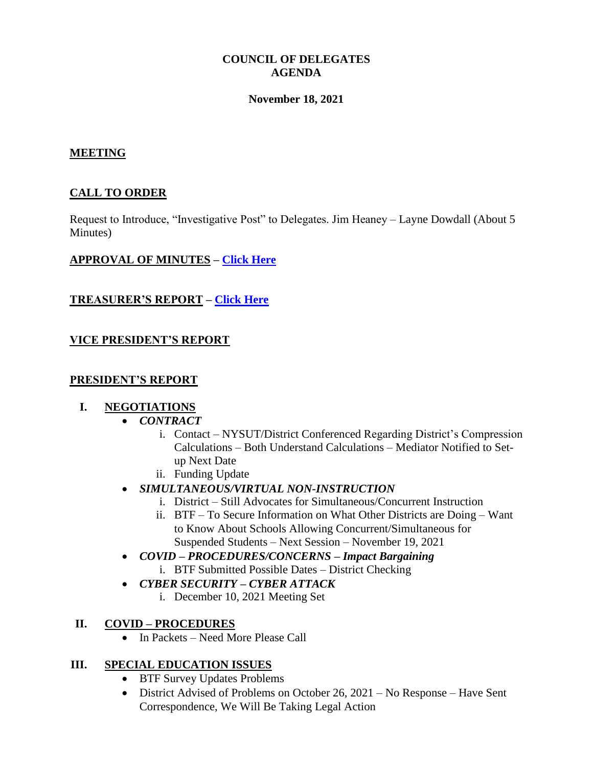## **COUNCIL OF DELEGATES AGENDA**

#### **November 18, 2021**

## **MEETING**

## **CALL TO ORDER**

Request to Introduce, "Investigative Post" to Delegates. Jim Heaney – Layne Dowdall (About 5 Minutes)

### **APPROVAL OF MINUTES – [Click Here](http://www.btfny.org/cod/agendas/2021/nov18/council_minutes_102121.pdf)**

## **TREASURER'S REPORT – [Click Here](http://www.btfny.org/cod/agendas/2021/nov18/finance_statement_111821.pdf)**

## **VICE PRESIDENT'S REPORT**

#### **PRESIDENT'S REPORT**

#### **I. NEGOTIATIONS**

- *CONTRACT*
	- i. Contact NYSUT/District Conferenced Regarding District's Compression Calculations – Both Understand Calculations – Mediator Notified to Setup Next Date
	- ii. Funding Update
- *SIMULTANEOUS/VIRTUAL NON-INSTRUCTION* 
	- i. District Still Advocates for Simultaneous/Concurrent Instruction
	- ii. BTF To Secure Information on What Other Districts are Doing Want to Know About Schools Allowing Concurrent/Simultaneous for Suspended Students – Next Session – November 19, 2021
- *COVID – PROCEDURES/CONCERNS – Impact Bargaining* 
	- i. BTF Submitted Possible Dates District Checking
- *CYBER SECURITY – CYBER ATTACK* 
	- i. December 10, 2021 Meeting Set

#### **II. COVID – PROCEDURES**

• In Packets – Need More Please Call

#### **III. SPECIAL EDUCATION ISSUES**

- BTF Survey Updates Problems
- District Advised of Problems on October 26, 2021 No Response Have Sent Correspondence, We Will Be Taking Legal Action